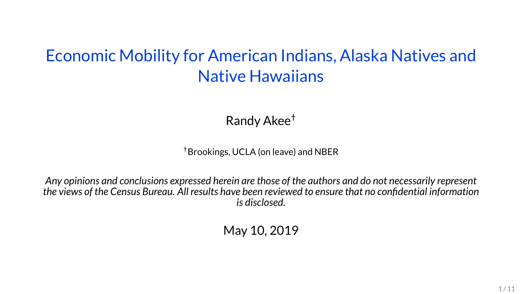## Economic Mobility for American Indians, Alaska Natives and Native Hawaiians

Randy Akee†

†Brookings, UCLA (on leave) and NBER

*Any opinions and conclusions expressed herein are those of the authors and do not necessarily represent the views of the Census Bureau. All results have been reviewed to ensure that no confidential information is disclosed.*

May 10, 2019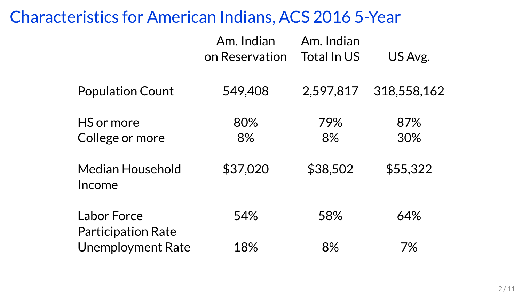### Characteristics for American Indians, ACS 2016 5-Year

|                                          | Am. Indian<br>on Reservation | Am. Indian<br>Total In US | US Avg.     |
|------------------------------------------|------------------------------|---------------------------|-------------|
| <b>Population Count</b>                  | 549,408                      | 2,597,817                 | 318,558,162 |
| HS or more<br>College or more            | 80%<br>8%                    | 79%<br>8%                 | 87%<br>30%  |
| Median Household<br>Income               | \$37,020                     | \$38,502                  | \$55,322    |
| Labor Force<br><b>Participation Rate</b> | 54%                          | 58%                       | 64%         |
| <b>Unemployment Rate</b>                 | 18%                          | 8%                        | 7%          |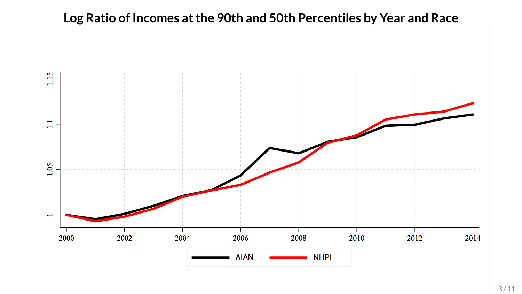### **Log Ratio of Incomes atthe 90th and 50th Percentiles by Year and Race**

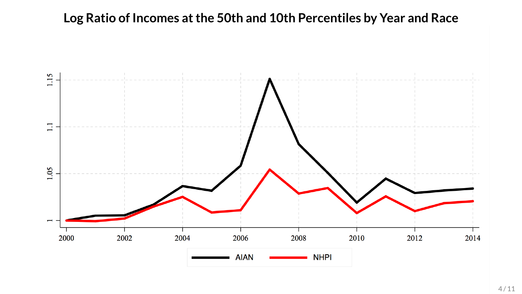### **Log Ratio of Incomes atthe 50th and 10th Percentiles by Year and Race**

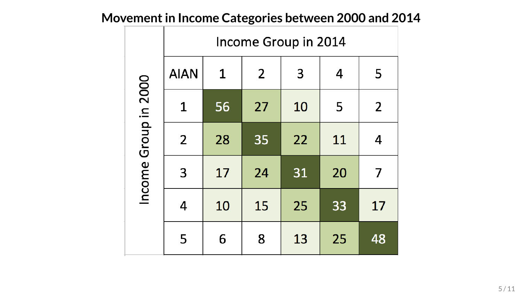|                      | Income Group in 2014 |              |                |    |    |                |  |
|----------------------|----------------------|--------------|----------------|----|----|----------------|--|
|                      | <b>AIAN</b>          | $\mathbf{1}$ | $\overline{2}$ | 3  | 4  | 5              |  |
|                      | 1                    | 56           | 27             | 10 | 5  | $\overline{2}$ |  |
|                      | $\overline{2}$       | 28           | 35             | 22 | 11 | 4              |  |
| Income Group in 2000 | 3                    | 17           | 24             | 31 | 20 | 7              |  |
|                      | 4                    | 10           | 15             | 25 | 33 | 17             |  |
|                      | 5                    | 6            | 8              | 13 | 25 | 48             |  |

## **Movementin Income Categories between 2000 and 2014**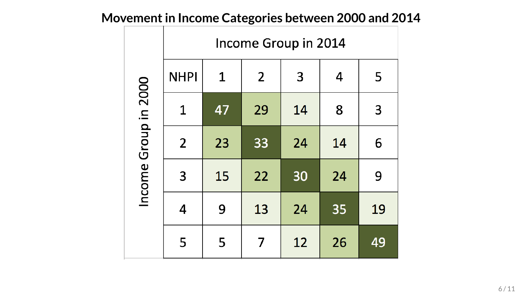# **Movementin Income Categories between 2000 and 2014**

|                      | Income Group in 2014 |    |                |    |    |    |  |
|----------------------|----------------------|----|----------------|----|----|----|--|
|                      | <b>NHPI</b>          | 1  | $\overline{2}$ | 3  | 4  | 5  |  |
|                      | 1                    | 47 | 29             | 14 | 8  | 3  |  |
|                      | $\overline{2}$       | 23 | 33             | 24 | 14 | 6  |  |
| Income Group in 2000 | 3                    | 15 | 22             | 30 | 24 | 9  |  |
|                      | 4                    | 9  | 13             | 24 | 35 | 19 |  |
|                      | 5                    | 5  | 7              | 12 | 26 | 49 |  |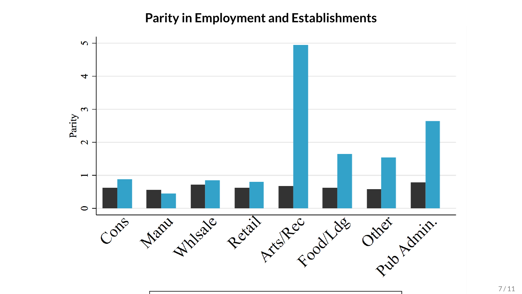#### **Parity in Employment and Establishments**

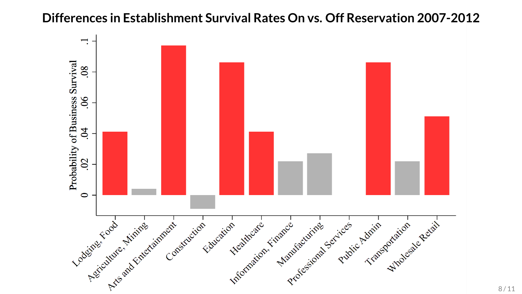#### **Differences in Establishment Survival Rates On vs. Off Reservation 2007-2012**

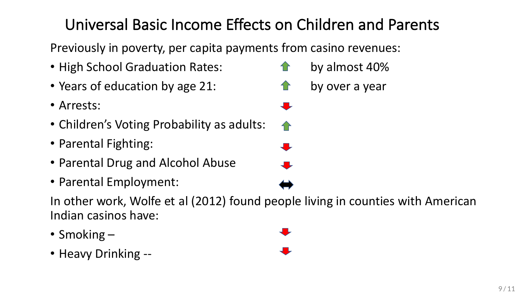# Universal Basic Income Effects on Children and Parents

Previously in poverty, per capita payments from casino revenues:

- High School Graduation Rates:
- Years of education by age 21:  $\hat{P}$  by over a year
- Arrests:
- Children's Voting Probability as adults:
- Parental Fighting:
- Parental Drug and Alcohol Abuse
- Parental Employment:

In other work, Wolfe et al (2012) found people living in counties with American Indian casinos have: 

- Smoking  $-$
- Heavy Drinking --
- $\bullet$  by almost 40%  $\ddot{\phantom{a}}$
- $\bigcap$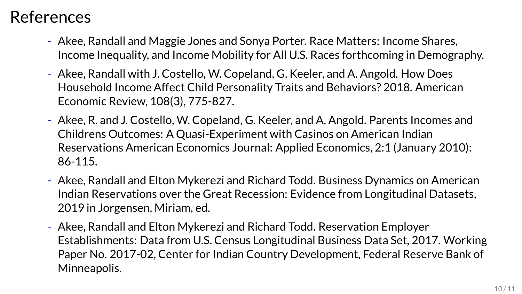## References

- Akee, Randall and Maggie Jones and Sonya Porter. Race Matters: Income Shares, Income Inequality, and Income Mobility for All U.S. Races forthcoming in Demography.
- Akee, Randall with J. Costello, W. Copeland, G. Keeler, and A. Angold. How Does Household Income Affect Child Personality Traits and Behaviors? 2018. American Economic Review, 108(3), 775-827.
- Akee, R. and J. Costello, W. Copeland, G. Keeler, and A. Angold. Parents Incomes and Childrens Outcomes: A Quasi-Experiment with Casinos on American Indian Reservations American Economics Journal: Applied Economics, 2:1 (January 2010): 86-115.
- Akee, Randall and Elton Mykerezi and Richard Todd. Business Dynamics on American Indian Reservations over the Great Recession: Evidence from Longitudinal Datasets, 2019 in Jorgensen, Miriam, ed.
- Akee, Randall and Elton Mykerezi and Richard Todd. Reservation Employer Establishments: Data from U.S. Census Longitudinal Business Data Set, 2017. Working Paper No. 2017-02, Center for Indian Country Development, Federal Reserve Bank of Minneapolis.